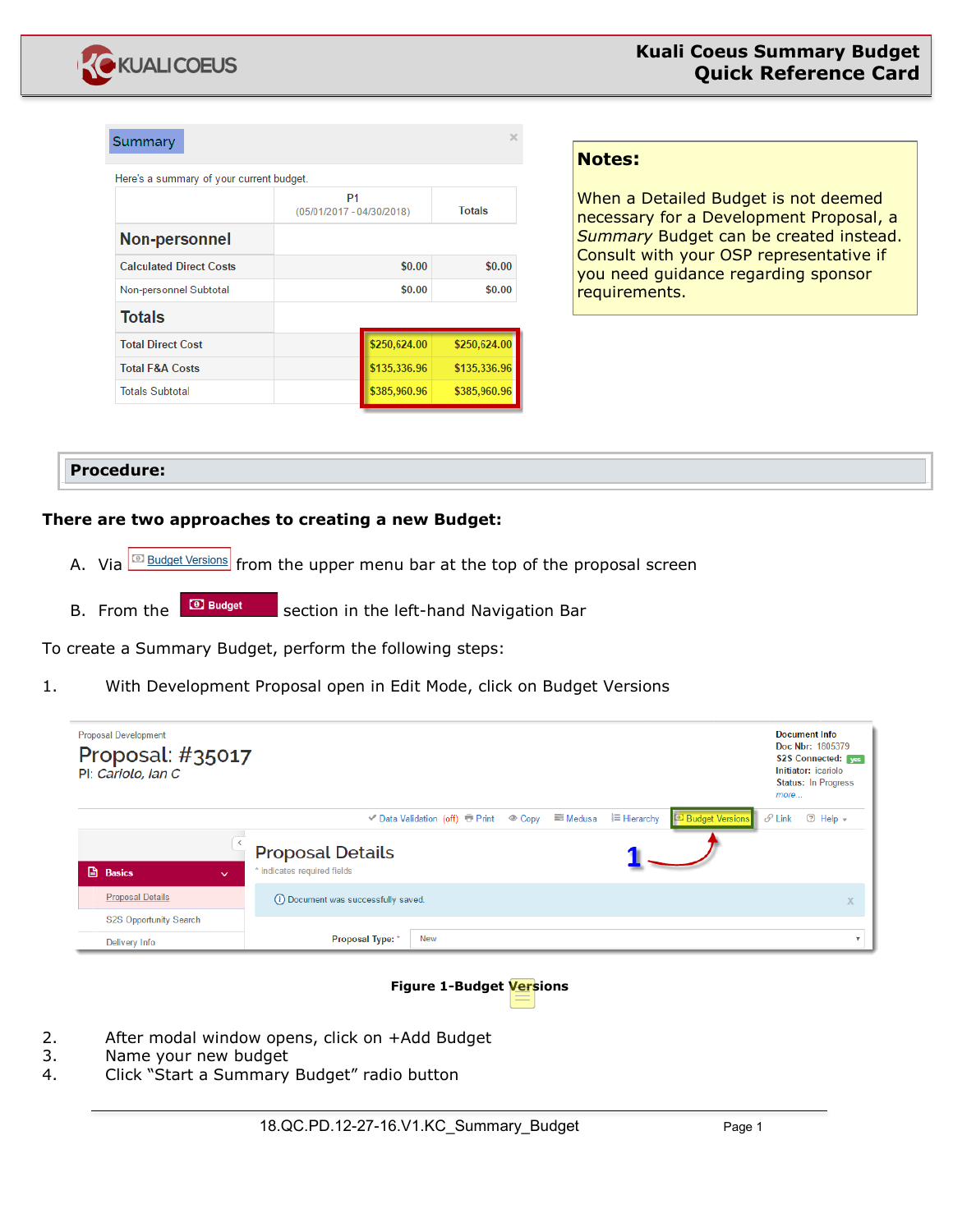

| Summary                                  |                                             | x             |  |  |
|------------------------------------------|---------------------------------------------|---------------|--|--|
| Here's a summary of your current budget. |                                             |               |  |  |
|                                          | P <sub>1</sub><br>(05/01/2017 - 04/30/2018) | <b>Totals</b> |  |  |
| Non-personnel                            |                                             |               |  |  |
| <b>Calculated Direct Costs</b>           | \$0.00                                      | \$0.00        |  |  |
| Non-personnel Subtotal                   | \$0.00                                      | \$0.00        |  |  |
| <b>Totals</b>                            |                                             |               |  |  |
| <b>Total Direct Cost</b>                 | \$250,624.00                                | \$250,624.00  |  |  |
| <b>Total F&amp;A Costs</b>               | \$135,336.96                                | \$135,336.96  |  |  |
| <b>Totals Subtotal</b>                   | \$385,960.96                                | \$385,960.96  |  |  |

## **Notes:**

When a Detailed Budget is not deemed necessary for a Development Proposal, a *Summary* Budget can be created instead. Consult with your OSP representative if you need guidance regarding sponsor requirements.

## **Procedure:**

## **There are two approaches to creating a new Budget:**

- A. Via  $\sqrt{\frac{c_0}{c_1}}$  Budget Versions from the upper menu bar at the top of the proposal screen
- B. From the **B** Budget section in the left-hand Navigation Bar

To create a Summary Budget, perform the following steps:

1. With Development Proposal open in Edit Mode, click on Budget Versions

| <b>Proposal Development</b><br>Proposal: #35017<br>Pl: Cariolo, Ian C |                                                        |            |  |                    |                        | more               | <b>Document Info</b><br>Doc Nbr: 1805379<br><b>S2S Connected:</b> ves<br>Initiator: icariolo<br><b>Status: In Progress</b> |
|-----------------------------------------------------------------------|--------------------------------------------------------|------------|--|--------------------|------------------------|--------------------|----------------------------------------------------------------------------------------------------------------------------|
| <b>A</b> Basics<br>$\checkmark$                                       | <b>Proposal Details</b><br>* indicates required fields |            |  | <b>三 Hierarchy</b> | <b>Budget Versions</b> | $\mathscr{O}$ Link | $\odot$ Help $\sim$                                                                                                        |
| <b>Proposal Details</b>                                               | (i) Document was successfully saved.                   |            |  |                    |                        |                    | X                                                                                                                          |
| <b>S2S Opportunity Search</b><br>Delivery Info                        | Proposal Type: *                                       | <b>New</b> |  |                    |                        |                    |                                                                                                                            |

#### **Figure 1-Budget Versions**

- 2. After modal window opens, click on +Add Budget
- 3. Name your new budget
- 4. Click "Start a Summary Budget" radio button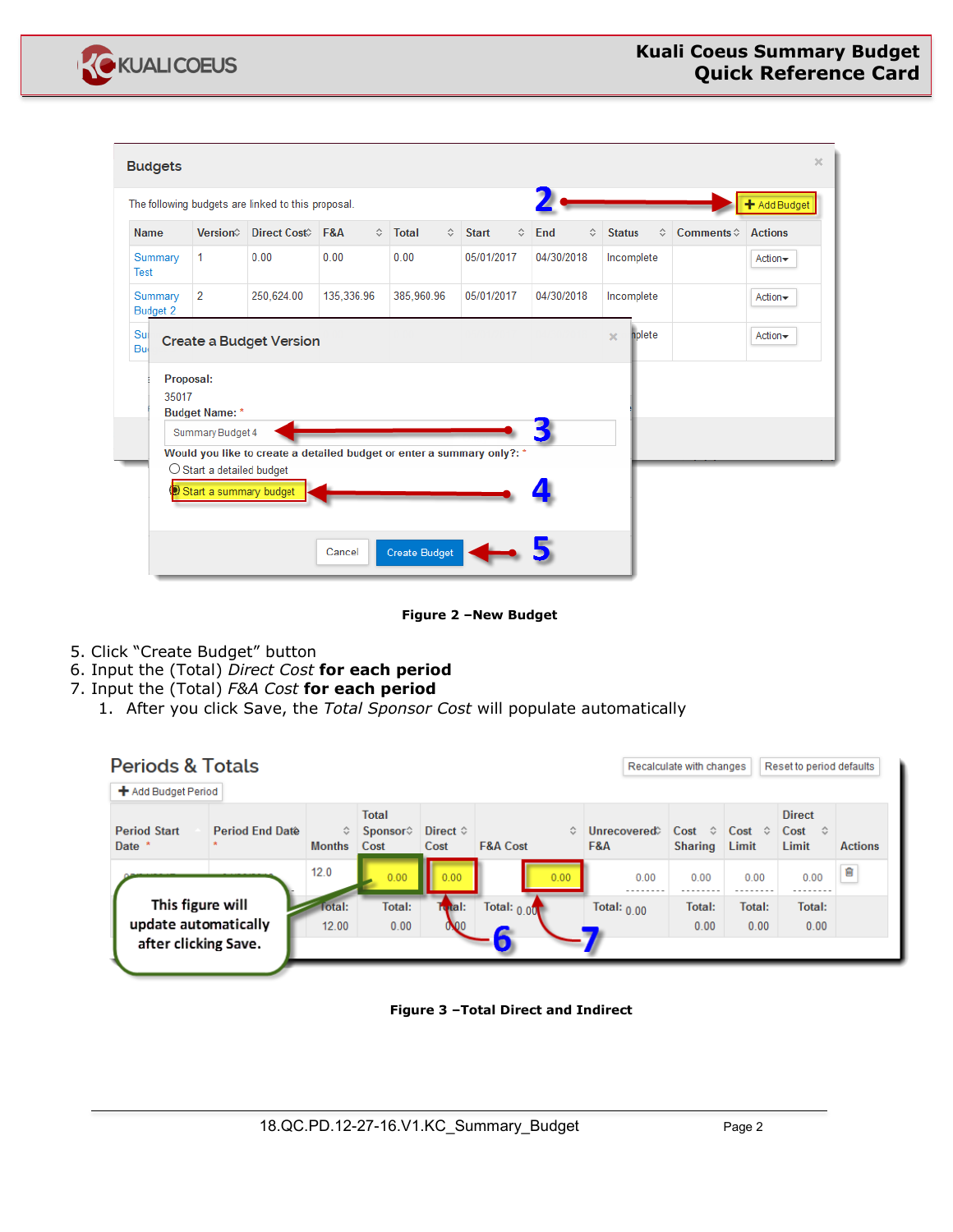

| <b>Budgets</b> |                     |                                    |                                                                        |            |                    |                      |                    |              |   |            |               |            |                          | $\propto$      |
|----------------|---------------------|------------------------------------|------------------------------------------------------------------------|------------|--------------------|----------------------|--------------------|--------------|---|------------|---------------|------------|--------------------------|----------------|
|                |                     |                                    | The following budgets are linked to this proposal.                     |            |                    |                      |                    |              |   |            |               |            |                          | + Add Budget   |
| <b>Name</b>    |                     | Version                            | Direct Cost <sup>2</sup> F&A                                           |            | $\hat{\mathbf{v}}$ | <b>Total</b>         | $\hat{\mathbf{v}}$ | <b>Start</b> | ≎ | End<br>≎   | <b>Status</b> |            | ≎<br>Comments $\diamond$ | <b>Actions</b> |
| Test           | Summary             | 1                                  | 0.00                                                                   | 0.00       |                    | 0.00                 |                    | 05/01/2017   |   | 04/30/2018 |               | Incomplete |                          | Action-        |
|                | Summary<br>Budget 2 | $\overline{2}$                     | 250,624.00                                                             | 135,336.96 |                    | 385.960.96           |                    | 05/01/2017   |   | 04/30/2018 |               | Incomplete |                          | Action-        |
| Sul<br>Bu      |                     |                                    | <b>Create a Budget Version</b>                                         |            |                    |                      |                    |              |   |            | $\mathbf{x}$  | nplete     |                          | Action-        |
|                | 35017               | Proposal:                          |                                                                        |            |                    |                      |                    |              |   |            |               |            |                          |                |
|                |                     | <b>Budget Name:</b> *              |                                                                        |            |                    |                      |                    |              |   |            |               |            |                          |                |
|                |                     | Summary Budget 4                   |                                                                        |            |                    |                      |                    |              |   |            |               |            |                          |                |
|                |                     |                                    | Would you like to create a detailed budget or enter a summary only?: * |            |                    |                      |                    |              |   |            |               |            |                          |                |
|                |                     | $\bigcirc$ Start a detailed budget |                                                                        |            |                    |                      |                    |              |   |            |               |            |                          |                |
|                |                     | Start a summary budget             |                                                                        |            |                    |                      |                    |              |   |            |               |            |                          |                |
|                |                     |                                    |                                                                        | Cancel     |                    | <b>Create Budget</b> |                    |              |   |            |               |            |                          |                |

**Figure 2 –New Budget**

- 5. Click "Create Budget" button
- 6. Input the (Total) *Direct Cost* **for each period**
- 7. Input the (Total) *F&A Cost* **for each period**
	- 1. After you click Save, the *Total Sponsor Cost* will populate automatically

| <b>Periods &amp; Totals</b>                                      |                    |                                            |                           |                            |                    | Recalculate with changes                      |                             | Reset to period defaults                              |                |
|------------------------------------------------------------------|--------------------|--------------------------------------------|---------------------------|----------------------------|--------------------|-----------------------------------------------|-----------------------------|-------------------------------------------------------|----------------|
| + Add Budget Period                                              |                    |                                            |                           |                            |                    |                                               |                             |                                                       |                |
| <b>Period Start</b><br>Period End Date<br>Date *                 | ≎<br><b>Months</b> | <b>Total</b><br>Sponsor $\diamond$<br>Cost | Direct $\diamond$<br>Cost | ≎<br><b>F&amp;A Cost</b>   | Unrecovered<br>F&A | $Cost \quad \hat{\diamond}$<br><b>Sharing</b> | $Cost \; \Diamond$<br>Limit | <b>Direct</b><br>$Cost \quad \hat{\diamond}$<br>Limit | <b>Actions</b> |
|                                                                  | 12.0               | 0.00                                       | 0.00                      | 0.00                       | 0.00               | 0.00                                          | 0.00                        | 0.00                                                  | û              |
| This figure will<br>update automatically<br>after clicking Save. | Total:<br>12.00    | Total:<br>0.00                             | Tutal:<br>000             | Total: $0.00$<br>$\bullet$ | Total: $0.00$      | Total:<br>0.00                                | Total:<br>0.00              | Total:<br>0.00                                        |                |

**Figure 3 –Total Direct and Indirect**